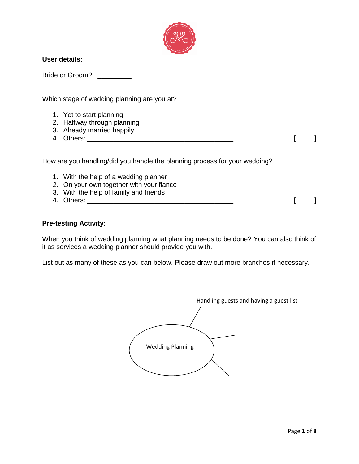

#### **User details:**

Bride or Groom?

Which stage of wedding planning are you at?

- 1. Yet to start planning
- 2. Halfway through planning
- 3. Already married happily
- 4. Others: \_\_\_\_\_\_\_\_\_\_\_\_\_\_\_\_\_\_\_\_\_\_\_\_\_\_\_\_\_\_\_\_\_\_\_\_\_\_\_ [ ]

How are you handling/did you handle the planning process for your wedding?

- 1. With the help of a wedding planner
- 2. On your own together with your fiance
- 3. With the help of family and friends
- 4. Others: \_\_\_\_\_\_\_\_\_\_\_\_\_\_\_\_\_\_\_\_\_\_\_\_\_\_\_\_\_\_\_\_\_\_\_\_\_\_\_ [ ]

#### **Pre-testing Activity:**

When you think of wedding planning what planning needs to be done? You can also think of it as services a wedding planner should provide you with.

List out as many of these as you can below. Please draw out more branches if necessary.

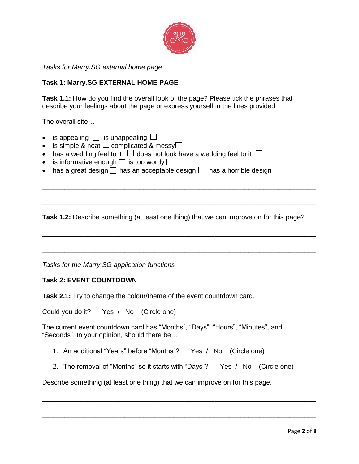

*Tasks for Marry.SG external home page*

# **Task 1: Marry.SG EXTERNAL HOME PAGE**

**Task 1.1:** How do you find the overall look of the page? Please tick the phrases that describe your feelings about the page or express yourself in the lines provided.

The overall site…

- is appealing  $\Box$  is unappealing  $\Box$
- is simple & neat  $\Box$  complicated & messy $\Box$
- has a wedding feel to it  $\Box$  does not look have a wedding feel to it  $\Box$
- is informative enough  $\Box$  is too wordy  $\Box$
- has a great design  $\Box$  has an acceptable design  $\Box$  has a horrible design  $\Box$

**Task 1.2:** Describe something (at least one thing) that we can improve on for this page?

\_\_\_\_\_\_\_\_\_\_\_\_\_\_\_\_\_\_\_\_\_\_\_\_\_\_\_\_\_\_\_\_\_\_\_\_\_\_\_\_\_\_\_\_\_\_\_\_\_\_\_\_\_\_\_\_\_\_\_\_\_\_\_\_\_\_\_\_\_\_\_\_\_

\_\_\_\_\_\_\_\_\_\_\_\_\_\_\_\_\_\_\_\_\_\_\_\_\_\_\_\_\_\_\_\_\_\_\_\_\_\_\_\_\_\_\_\_\_\_\_\_\_\_\_\_\_\_\_\_\_\_\_\_\_\_\_\_\_\_\_\_\_\_\_\_\_

\_\_\_\_\_\_\_\_\_\_\_\_\_\_\_\_\_\_\_\_\_\_\_\_\_\_\_\_\_\_\_\_\_\_\_\_\_\_\_\_\_\_\_\_\_\_\_\_\_\_\_\_\_\_\_\_\_\_\_\_\_\_\_\_\_\_\_\_\_\_\_\_\_

\_\_\_\_\_\_\_\_\_\_\_\_\_\_\_\_\_\_\_\_\_\_\_\_\_\_\_\_\_\_\_\_\_\_\_\_\_\_\_\_\_\_\_\_\_\_\_\_\_\_\_\_\_\_\_\_\_\_\_\_\_\_\_\_\_\_\_\_\_\_\_\_\_

*Tasks for the Marry.SG application functions*

#### **Task 2: EVENT COUNTDOWN**

**Task 2.1:** Try to change the colour/theme of the event countdown card.

Could you do it? Yes / No (Circle one)

The current event countdown card has "Months", "Days", "Hours", "Minutes", and "Seconds". In your opinion, should there be…

- 1. An additional "Years" before "Months"? Yes / No (Circle one)
- 2. The removal of "Months" so it starts with "Days"? Yes / No (Circle one)

\_\_\_\_\_\_\_\_\_\_\_\_\_\_\_\_\_\_\_\_\_\_\_\_\_\_\_\_\_\_\_\_\_\_\_\_\_\_\_\_\_\_\_\_\_\_\_\_\_\_\_\_\_\_\_\_\_\_\_\_\_\_\_\_\_\_\_\_\_\_\_\_\_

\_\_\_\_\_\_\_\_\_\_\_\_\_\_\_\_\_\_\_\_\_\_\_\_\_\_\_\_\_\_\_\_\_\_\_\_\_\_\_\_\_\_\_\_\_\_\_\_\_\_\_\_\_\_\_\_\_\_\_\_\_\_\_\_\_\_\_\_\_\_\_\_\_

Describe something (at least one thing) that we can improve on for this page.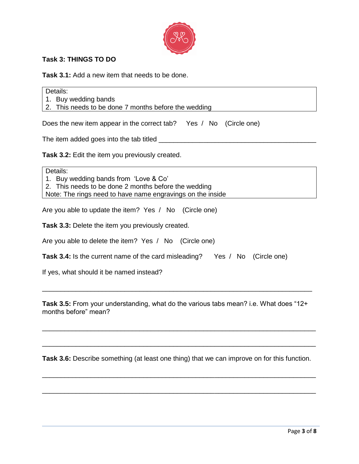

# **Task 3: THINGS TO DO**

**Task 3.1:** Add a new item that needs to be done.

Details: 1. Buy wedding bands 2. This needs to be done 7 months before the wedding Does the new item appear in the correct tab? Yes / No (Circle one) The item added goes into the tab titled  $\Box$ **Task 3.2:** Edit the item you previously created. Details: 1. Buy wedding bands from 'Love & Co' 2. This needs to be done 2 months before the wedding Note: The rings need to have name engravings on the inside Are you able to update the item? Yes / No (Circle one) **Task 3.3:** Delete the item you previously created. Are you able to delete the item? Yes / No (Circle one)

| <b>Task 3.4:</b> Is the current name of the card misleading? |  |  | Yes / No (Circle one) |
|--------------------------------------------------------------|--|--|-----------------------|
|--------------------------------------------------------------|--|--|-----------------------|

If yes, what should it be named instead?

**Task 3.5:** From your understanding, what do the various tabs mean? i.e. What does "12+ months before" mean?

\_\_\_\_\_\_\_\_\_\_\_\_\_\_\_\_\_\_\_\_\_\_\_\_\_\_\_\_\_\_\_\_\_\_\_\_\_\_\_\_\_\_\_\_\_\_\_\_\_\_\_\_\_\_\_\_\_\_\_\_\_\_\_\_\_\_\_\_\_\_\_\_\_

\_\_\_\_\_\_\_\_\_\_\_\_\_\_\_\_\_\_\_\_\_\_\_\_\_\_\_\_\_\_\_\_\_\_\_\_\_\_\_\_\_\_\_\_\_\_\_\_\_\_\_\_\_\_\_\_\_\_\_\_\_\_\_\_\_\_\_\_\_\_\_\_\_

\_\_\_\_\_\_\_\_\_\_\_\_\_\_\_\_\_\_\_\_\_\_\_\_\_\_\_\_\_\_\_\_\_\_\_\_\_\_\_\_\_\_\_\_\_\_\_\_\_\_\_\_\_\_\_\_\_\_\_\_\_\_\_\_\_\_\_\_\_\_\_\_

**Task 3.6:** Describe something (at least one thing) that we can improve on for this function.

\_\_\_\_\_\_\_\_\_\_\_\_\_\_\_\_\_\_\_\_\_\_\_\_\_\_\_\_\_\_\_\_\_\_\_\_\_\_\_\_\_\_\_\_\_\_\_\_\_\_\_\_\_\_\_\_\_\_\_\_\_\_\_\_\_\_\_\_\_\_\_\_\_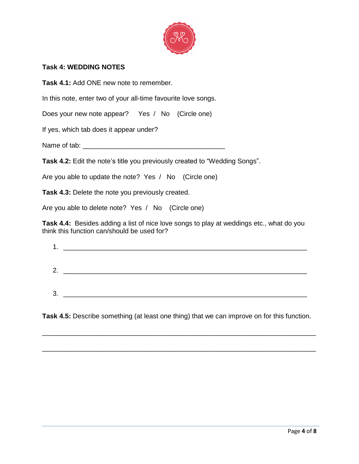

## **Task 4: WEDDING NOTES**

**Task 4.1:** Add ONE new note to remember.

In this note, enter two of your all-time favourite love songs.

Does your new note appear? Yes / No (Circle one)

If yes, which tab does it appear under?

Name of tab: \_\_\_\_\_\_\_\_\_\_\_\_\_\_\_\_\_\_\_\_\_\_\_\_\_\_\_\_\_\_\_\_\_\_\_\_\_\_

**Task 4.2:** Edit the note's title you previously created to "Wedding Songs".

Are you able to update the note? Yes / No (Circle one)

**Task 4.3:** Delete the note you previously created.

Are you able to delete note? Yes / No (Circle one)

**Task 4.4:** Besides adding a list of nice love songs to play at weddings etc., what do you think this function can/should be used for?

| 1.<br>. . |  |
|-----------|--|
|           |  |
| 2.        |  |
|           |  |
| 3.        |  |
|           |  |

**Task 4.5:** Describe something (at least one thing) that we can improve on for this function.

\_\_\_\_\_\_\_\_\_\_\_\_\_\_\_\_\_\_\_\_\_\_\_\_\_\_\_\_\_\_\_\_\_\_\_\_\_\_\_\_\_\_\_\_\_\_\_\_\_\_\_\_\_\_\_\_\_\_\_\_\_\_\_\_\_\_\_\_\_\_\_\_\_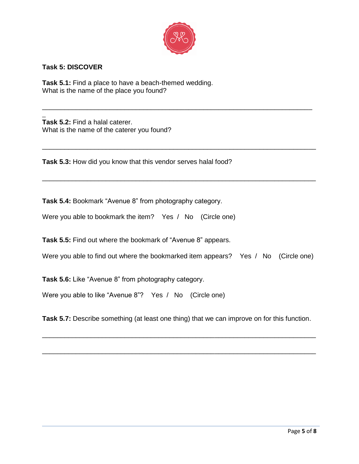

\_\_\_\_\_\_\_\_\_\_\_\_\_\_\_\_\_\_\_\_\_\_\_\_\_\_\_\_\_\_\_\_\_\_\_\_\_\_\_\_\_\_\_\_\_\_\_\_\_\_\_\_\_\_\_\_\_\_\_\_\_\_\_\_\_\_\_\_\_\_\_\_

\_\_\_\_\_\_\_\_\_\_\_\_\_\_\_\_\_\_\_\_\_\_\_\_\_\_\_\_\_\_\_\_\_\_\_\_\_\_\_\_\_\_\_\_\_\_\_\_\_\_\_\_\_\_\_\_\_\_\_\_\_\_\_\_\_\_\_\_\_\_\_\_\_

\_\_\_\_\_\_\_\_\_\_\_\_\_\_\_\_\_\_\_\_\_\_\_\_\_\_\_\_\_\_\_\_\_\_\_\_\_\_\_\_\_\_\_\_\_\_\_\_\_\_\_\_\_\_\_\_\_\_\_\_\_\_\_\_\_\_\_\_\_\_\_\_\_

## **Task 5: DISCOVER**

**Task 5.1:** Find a place to have a beach-themed wedding. What is the name of the place you found?

\_ **Task 5.2:** Find a halal caterer. What is the name of the caterer you found?

**Task 5.3:** How did you know that this vendor serves halal food?

**Task 5.4:** Bookmark "Avenue 8" from photography category.

Were you able to bookmark the item? Yes / No (Circle one)

**Task 5.5:** Find out where the bookmark of "Avenue 8" appears.

Were you able to find out where the bookmarked item appears? Yes / No (Circle one)

**Task 5.6:** Like "Avenue 8" from photography category.

Were you able to like "Avenue 8"? Yes / No (Circle one)

**Task 5.7:** Describe something (at least one thing) that we can improve on for this function.

\_\_\_\_\_\_\_\_\_\_\_\_\_\_\_\_\_\_\_\_\_\_\_\_\_\_\_\_\_\_\_\_\_\_\_\_\_\_\_\_\_\_\_\_\_\_\_\_\_\_\_\_\_\_\_\_\_\_\_\_\_\_\_\_\_\_\_\_\_\_\_\_\_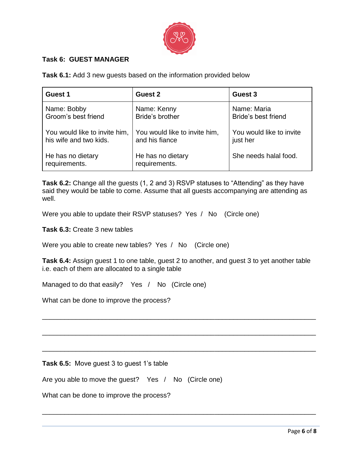

## **Task 6: GUEST MANAGER**

**Task 6.1:** Add 3 new guests based on the information provided below

| Guest 1                            | Guest 2                            | Guest 3                  |
|------------------------------------|------------------------------------|--------------------------|
| Name: Bobby                        | Name: Kenny                        | Name: Maria              |
| Groom's best friend                | Bride's brother                    | Bride's best friend      |
| You would like to invite him,      | You would like to invite him,      | You would like to invite |
| his wife and two kids.             | and his fiance                     | just her                 |
| He has no dietary<br>requirements. | He has no dietary<br>requirements. | She needs halal food.    |

**Task 6.2:** Change all the guests (1, 2 and 3) RSVP statuses to "Attending" as they have said they would be table to come. Assume that all guests accompanying are attending as well.

Were you able to update their RSVP statuses? Yes / No (Circle one)

**Task 6.3:** Create 3 new tables

Were you able to create new tables? Yes / No (Circle one)

**Task 6.4:** Assign guest 1 to one table, guest 2 to another, and guest 3 to yet another table i.e. each of them are allocated to a single table

\_\_\_\_\_\_\_\_\_\_\_\_\_\_\_\_\_\_\_\_\_\_\_\_\_\_\_\_\_\_\_\_\_\_\_\_\_\_\_\_\_\_\_\_\_\_\_\_\_\_\_\_\_\_\_\_\_\_\_\_\_\_\_\_\_\_\_\_\_\_\_\_\_

\_\_\_\_\_\_\_\_\_\_\_\_\_\_\_\_\_\_\_\_\_\_\_\_\_\_\_\_\_\_\_\_\_\_\_\_\_\_\_\_\_\_\_\_\_\_\_\_\_\_\_\_\_\_\_\_\_\_\_\_\_\_\_\_\_\_\_\_\_\_\_\_\_

\_\_\_\_\_\_\_\_\_\_\_\_\_\_\_\_\_\_\_\_\_\_\_\_\_\_\_\_\_\_\_\_\_\_\_\_\_\_\_\_\_\_\_\_\_\_\_\_\_\_\_\_\_\_\_\_\_\_\_\_\_\_\_\_\_\_\_\_\_\_\_\_\_

\_\_\_\_\_\_\_\_\_\_\_\_\_\_\_\_\_\_\_\_\_\_\_\_\_\_\_\_\_\_\_\_\_\_\_\_\_\_\_\_\_\_\_\_\_\_\_\_\_\_\_\_\_\_\_\_\_\_\_\_\_\_\_\_\_\_\_\_\_\_\_\_\_

Managed to do that easily? Yes / No (Circle one)

What can be done to improve the process?

**Task 6.5:** Move guest 3 to guest 1's table

Are you able to move the guest? Yes / No (Circle one)

What can be done to improve the process?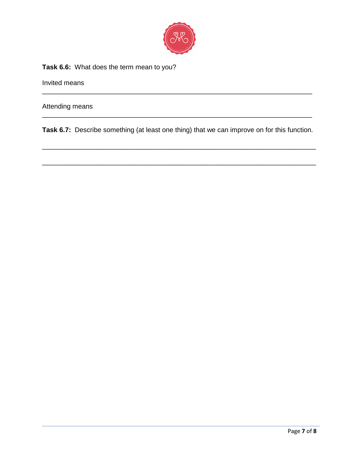

## **Task 6.6:** What does the term mean to you?

Invited means

Attending means

**Task 6.7:** Describe something (at least one thing) that we can improve on for this function.

\_\_\_\_\_\_\_\_\_\_\_\_\_\_\_\_\_\_\_\_\_\_\_\_\_\_\_\_\_\_\_\_\_\_\_\_\_\_\_\_\_\_\_\_\_\_\_\_\_\_\_\_\_\_\_\_\_\_\_\_\_\_\_\_\_\_\_\_\_\_\_\_\_

\_\_\_\_\_\_\_\_\_\_\_\_\_\_\_\_\_\_\_\_\_\_\_\_\_\_\_\_\_\_\_\_\_\_\_\_\_\_\_\_\_\_\_\_\_\_\_\_\_\_\_\_\_\_\_\_\_\_\_\_\_\_\_\_\_\_\_\_\_\_\_\_\_

\_\_\_\_\_\_\_\_\_\_\_\_\_\_\_\_\_\_\_\_\_\_\_\_\_\_\_\_\_\_\_\_\_\_\_\_\_\_\_\_\_\_\_\_\_\_\_\_\_\_\_\_\_\_\_\_\_\_\_\_\_\_\_\_\_\_\_\_\_\_\_\_